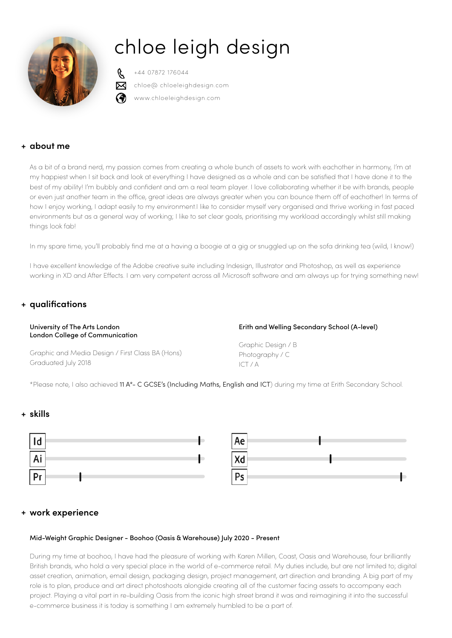# chloe leigh design



+44 07872 176044 chloe@ chloeleighdesign.com www.chloeleighdesign.com

# **+ about me**

As a bit of a brand nerd, my passion comes from creating a whole bunch of assets to work with eachother in harmony, I'm at my happiest when I sit back and look at everything I have designed as a whole and can be satisfied that I have done it to the best of my ability! I'm bubbly and confident and am a real team player. I love collaborating whether it be with brands, people or even just another team in the office, great ideas are always greater when you can bounce them off of eachother! In terms of how I enjoy working, I adapt easily to my environment.I like to consider myself very organised and thrive working in fast paced environments but as a general way of working; I like to set clear goals, prioritising my workload accordingly whilst still making things look fab!

In my spare time, you'll probably find me at a having a boogie at a gig or snuggled up on the sofa drinking tea (wild, I know!)

I have excellent knowledge of the Adobe creative suite including Indesign, Illustrator and Photoshop, as well as experience working in XD and After Effects. I am very competent across all Microsoft software and am always up for trying something new!

# **+ qualifications**

## University of The Arts London London College of Communication

Erith and Welling Secondary School (A-level)

Graphic and Media Design / First Class BA (Hons) Graduated July 2018

Graphic Design / B Photography / C ICT / A

\*Please note, I also achieved 11 A\*- C GCSE's (Including Maths, English and ICT) during my time at Erith Secondary School.

## **+ skills**



| Ae            |  |
|---------------|--|
| Xd            |  |
| $\mathsf{Ps}$ |  |

## **+ work experience**

## Mid-Weight Graphic Designer - Boohoo (Oasis & Warehouse) July 2020 - Present

During my time at boohoo, I have had the pleasure of working with Karen Millen, Coast, Oasis and Warehouse, four brilliantly British brands, who hold a very special place in the world of e-commerce retail. My duties include, but are not limited to; digital asset creation, animation, email design, packaging design, project management, art direction and branding. A big part of my role is to plan, produce and art direct photoshoots alongide creating all of the customer facing assets to accompany each project. Playing a vital part in re-building Oasis from the iconic high street brand it was and reimagining it into the successful e-commerce business it is today is something I am extremely humbled to be a part of.